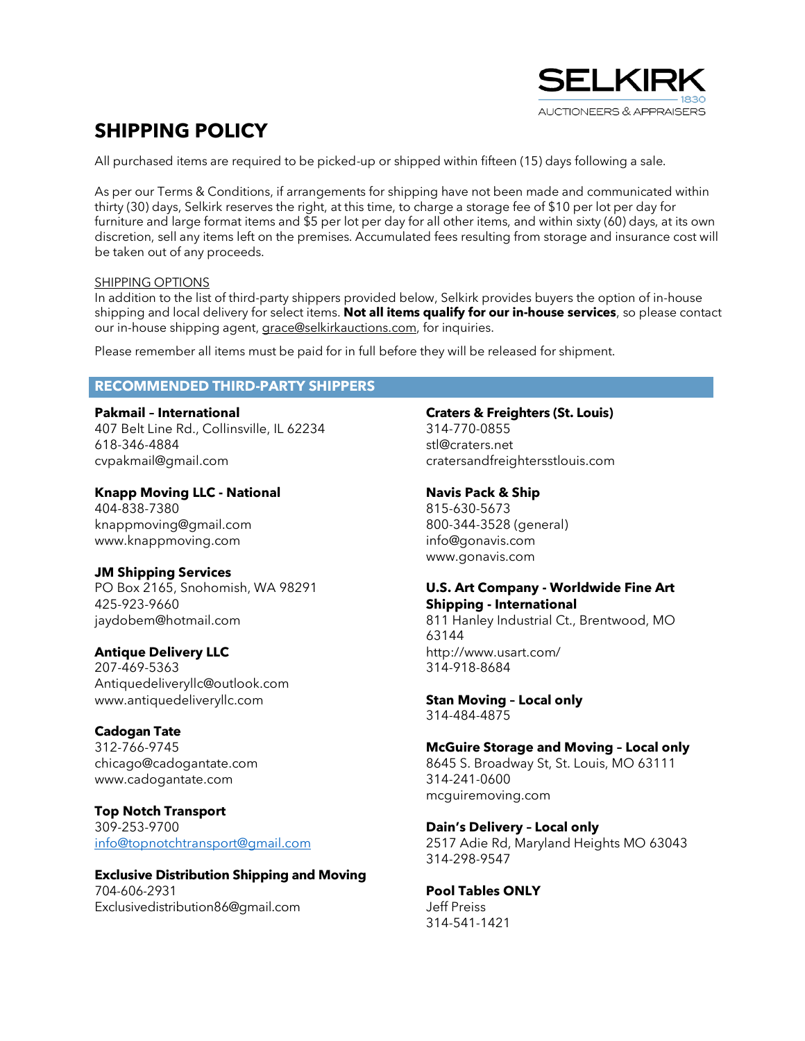

# **SHIPPING POLICY**

All purchased items are required to be picked-up or shipped within fifteen (15) days following a sale.

As per our Terms & Conditions, if arrangements for shipping have not been made and communicated within thirty (30) days, Selkirk reserves the right, at this time, to charge a storage fee of \$10 per lot per day for furniture and large format items and \$5 per lot per day for all other items, and within sixty (60) days, at its own discretion, sell any items left on the premises. Accumulated fees resulting from storage and insurance cost will be taken out of any proceeds.

#### SHIPPING OPTIONS

In addition to the list of third-party shippers provided below, Selkirk provides buyers the option of in-house shipping and local delivery for select items. **Not all items qualify for our in-house services**, so please contact our in-house shipping agent, grace@selkirkauctions.com, for inquiries.

Please remember all items must be paid for in full before they will be released for shipment.

## **RECOMMENDED THIRD-PARTY SHIPPERS**

**Pakmail – International** 407 Belt Line Rd., Collinsville, IL 62234 618-346-4884 cvpakmail@gmail.com

**Knapp Moving LLC - National** 404-838-7380

knappmoving@gmail.com www.knappmoving.com

## **JM Shipping Services**

PO Box 2165, Snohomish, WA 98291 425-923-9660 jaydobem@hotmail.com

## **Antique Delivery LLC**

207-469-5363 Antiquedeliveryllc@outlook.com www.antiquedeliveryllc.com

## **Cadogan Tate**

312-766-9745 chicago@cadogantate.com www.cadogantate.com

## **Top Notch Transport**

309-253-9700 [info@topnotchtransport@gmail.com](mailto:info@topnotchtransport@gmail.com)

#### **Exclusive Distribution Shipping and Moving** 704-606-2931

Exclusivedistribution86@gmail.com

## **Craters & Freighters (St. Louis)**

314-770-0855 stl@craters.net cratersandfreightersstlouis.com

#### **Navis Pack & Ship**

815-630-5673 800-344-3528 (general) info@gonavis.com www.gonavis.com

#### **U.S. Art Company - Worldwide Fine Art Shipping - International**

811 Hanley Industrial Ct., Brentwood, MO 63144 http://www.usart.com/ 314-918-8684

**Stan Moving – Local only** 314-484-4875

## **McGuire Storage and Moving – Local only**

8645 S. Broadway St, St. Louis, MO 63111 314-241-0600 mcguiremoving.com

#### **Dain's Delivery – Local only**

2517 Adie Rd, Maryland Heights MO 63043 314-298-9547

#### **Pool Tables ONLY**

Jeff Preiss 314-541-1421